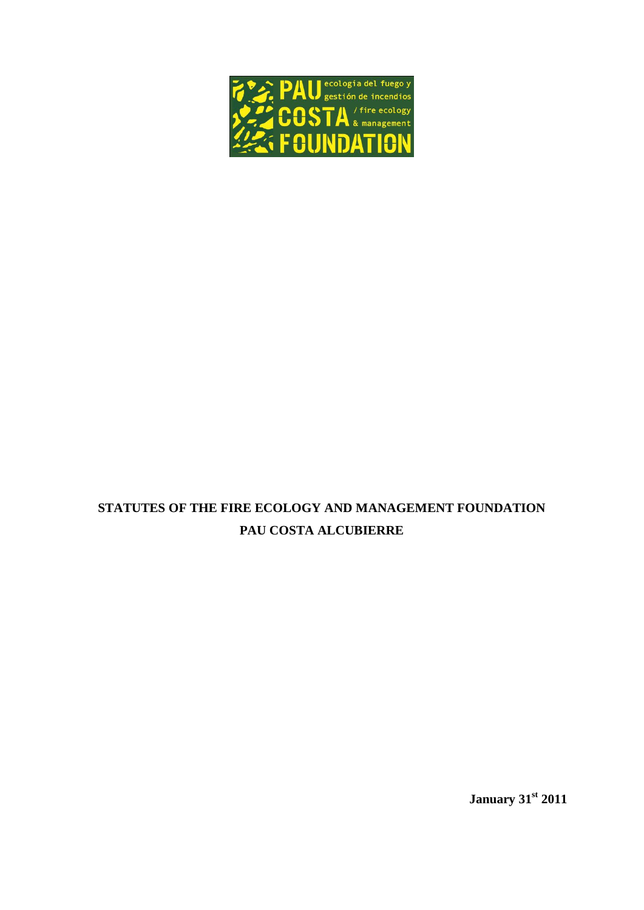

# **STATUTES OF THE FIRE ECOLOGY AND MANAGEMENT FOUNDATION PAU COSTA ALCUBIERRE**

**January 31st 2011**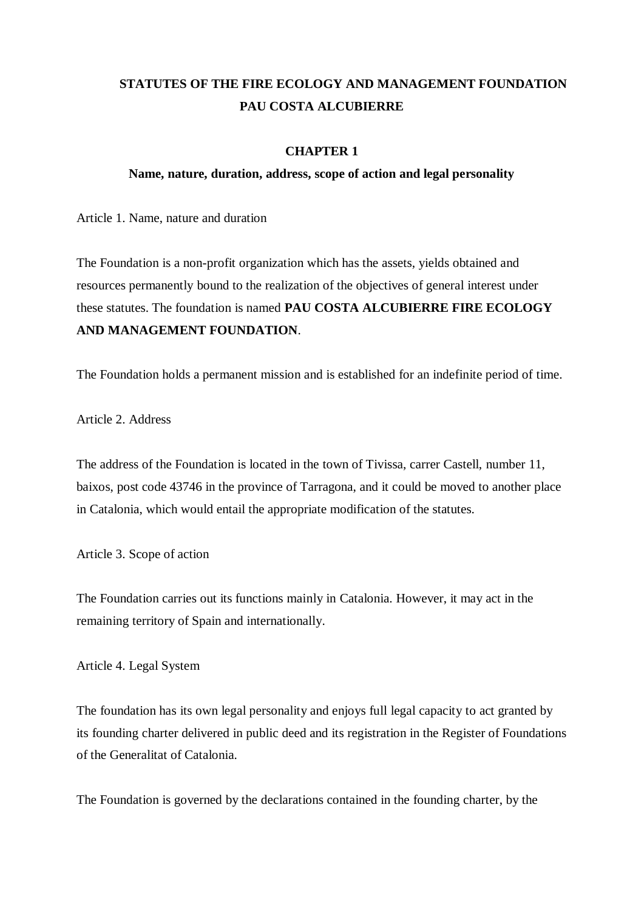## **STATUTES OF THE FIRE ECOLOGY AND MANAGEMENT FOUNDATION PAU COSTA ALCUBIERRE**

## **CHAPTER 1**

### **Name, nature, duration, address, scope of action and legal personality**

Article 1. Name, nature and duration

The Foundation is a non-profit organization which has the assets, yields obtained and resources permanently bound to the realization of the objectives of general interest under these statutes. The foundation is named **PAU COSTA ALCUBIERRE FIRE ECOLOGY AND MANAGEMENT FOUNDATION**.

The Foundation holds a permanent mission and is established for an indefinite period of time.

Article 2. Address

The address of the Foundation is located in the town of Tivissa, carrer Castell, number 11, baixos, post code 43746 in the province of Tarragona, and it could be moved to another place in Catalonia, which would entail the appropriate modification of the statutes.

Article 3. Scope of action

The Foundation carries out its functions mainly in Catalonia. However, it may act in the remaining territory of Spain and internationally.

Article 4. Legal System

The foundation has its own legal personality and enjoys full legal capacity to act granted by its founding charter delivered in public deed and its registration in the Register of Foundations of the Generalitat of Catalonia.

The Foundation is governed by the declarations contained in the founding charter, by the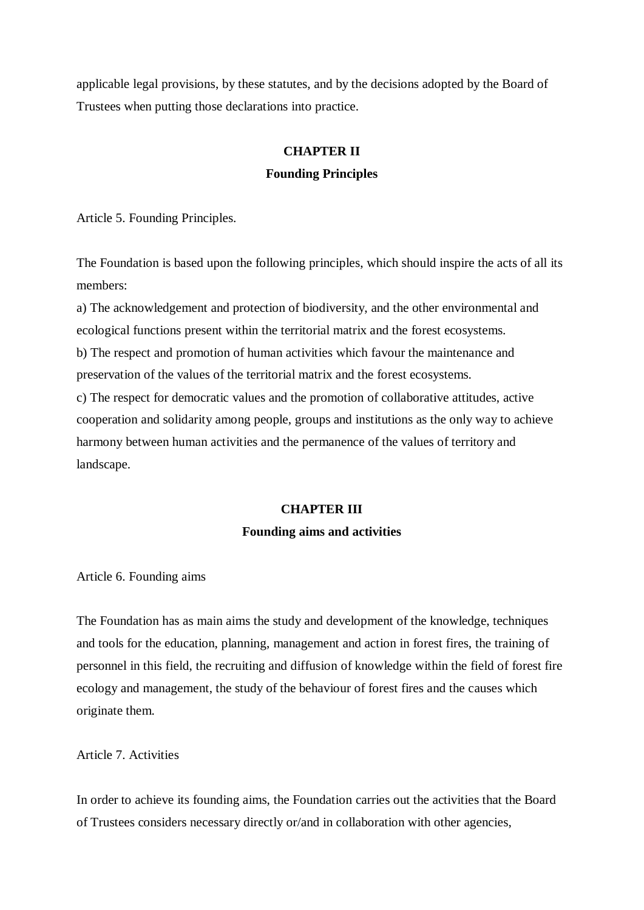applicable legal provisions, by these statutes, and by the decisions adopted by the Board of Trustees when putting those declarations into practice.

# **CHAPTER II**

## **Founding Principles**

Article 5. Founding Principles.

The Foundation is based upon the following principles, which should inspire the acts of all its members:

a) The acknowledgement and protection of biodiversity, and the other environmental and ecological functions present within the territorial matrix and the forest ecosystems. b) The respect and promotion of human activities which favour the maintenance and preservation of the values of the territorial matrix and the forest ecosystems. c) The respect for democratic values and the promotion of collaborative attitudes, active cooperation and solidarity among people, groups and institutions as the only way to achieve harmony between human activities and the permanence of the values of territory and landscape.

# **CHAPTER III Founding aims and activities**

Article 6. Founding aims

The Foundation has as main aims the study and development of the knowledge, techniques and tools for the education, planning, management and action in forest fires, the training of personnel in this field, the recruiting and diffusion of knowledge within the field of forest fire ecology and management, the study of the behaviour of forest fires and the causes which originate them.

Article 7. Activities

In order to achieve its founding aims, the Foundation carries out the activities that the Board of Trustees considers necessary directly or/and in collaboration with other agencies,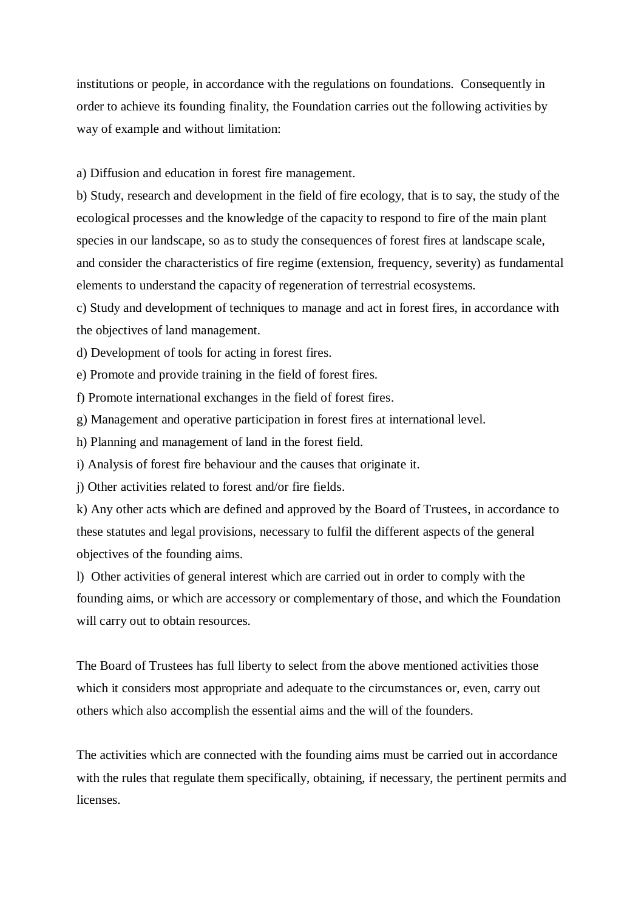institutions or people, in accordance with the regulations on foundations. Consequently in order to achieve its founding finality, the Foundation carries out the following activities by way of example and without limitation:

a) Diffusion and education in forest fire management.

b) Study, research and development in the field of fire ecology, that is to say, the study of the ecological processes and the knowledge of the capacity to respond to fire of the main plant species in our landscape, so as to study the consequences of forest fires at landscape scale, and consider the characteristics of fire regime (extension, frequency, severity) as fundamental elements to understand the capacity of regeneration of terrestrial ecosystems.

c) Study and development of techniques to manage and act in forest fires, in accordance with the objectives of land management.

d) Development of tools for acting in forest fires.

e) Promote and provide training in the field of forest fires.

f) Promote international exchanges in the field of forest fires.

g) Management and operative participation in forest fires at international level.

h) Planning and management of land in the forest field.

i) Analysis of forest fire behaviour and the causes that originate it.

j) Other activities related to forest and/or fire fields.

k) Any other acts which are defined and approved by the Board of Trustees, in accordance to these statutes and legal provisions, necessary to fulfil the different aspects of the general objectives of the founding aims.

l) Other activities of general interest which are carried out in order to comply with the founding aims, or which are accessory or complementary of those, and which the Foundation will carry out to obtain resources.

The Board of Trustees has full liberty to select from the above mentioned activities those which it considers most appropriate and adequate to the circumstances or, even, carry out others which also accomplish the essential aims and the will of the founders.

The activities which are connected with the founding aims must be carried out in accordance with the rules that regulate them specifically, obtaining, if necessary, the pertinent permits and licenses.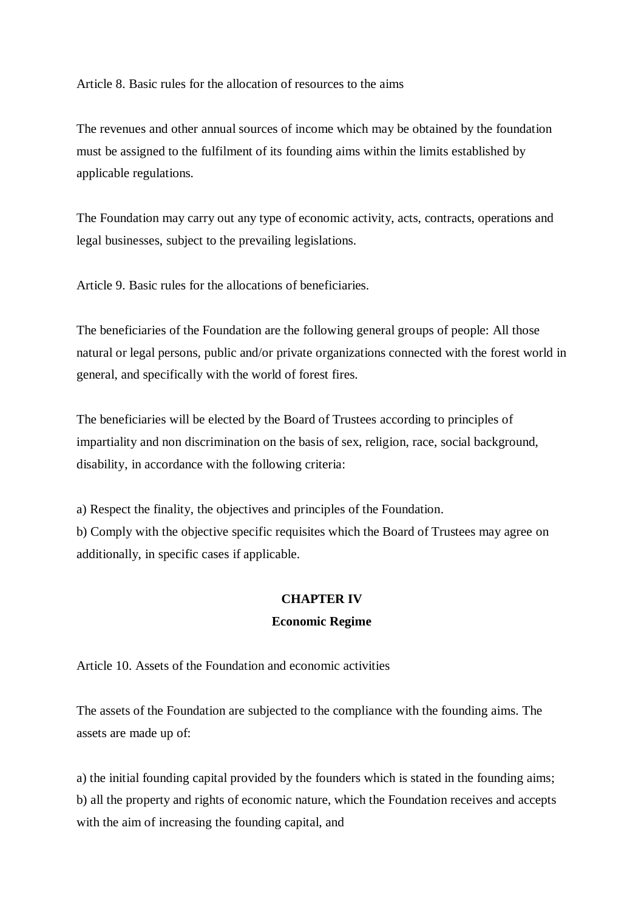Article 8. Basic rules for the allocation of resources to the aims

The revenues and other annual sources of income which may be obtained by the foundation must be assigned to the fulfilment of its founding aims within the limits established by applicable regulations.

The Foundation may carry out any type of economic activity, acts, contracts, operations and legal businesses, subject to the prevailing legislations.

Article 9. Basic rules for the allocations of beneficiaries.

The beneficiaries of the Foundation are the following general groups of people: All those natural or legal persons, public and/or private organizations connected with the forest world in general, and specifically with the world of forest fires.

The beneficiaries will be elected by the Board of Trustees according to principles of impartiality and non discrimination on the basis of sex, religion, race, social background, disability, in accordance with the following criteria:

a) Respect the finality, the objectives and principles of the Foundation. b) Comply with the objective specific requisites which the Board of Trustees may agree on additionally, in specific cases if applicable.

### **CHAPTER IV**

#### **Economic Regime**

Article 10. Assets of the Foundation and economic activities

The assets of the Foundation are subjected to the compliance with the founding aims. The assets are made up of:

a) the initial founding capital provided by the founders which is stated in the founding aims; b) all the property and rights of economic nature, which the Foundation receives and accepts with the aim of increasing the founding capital, and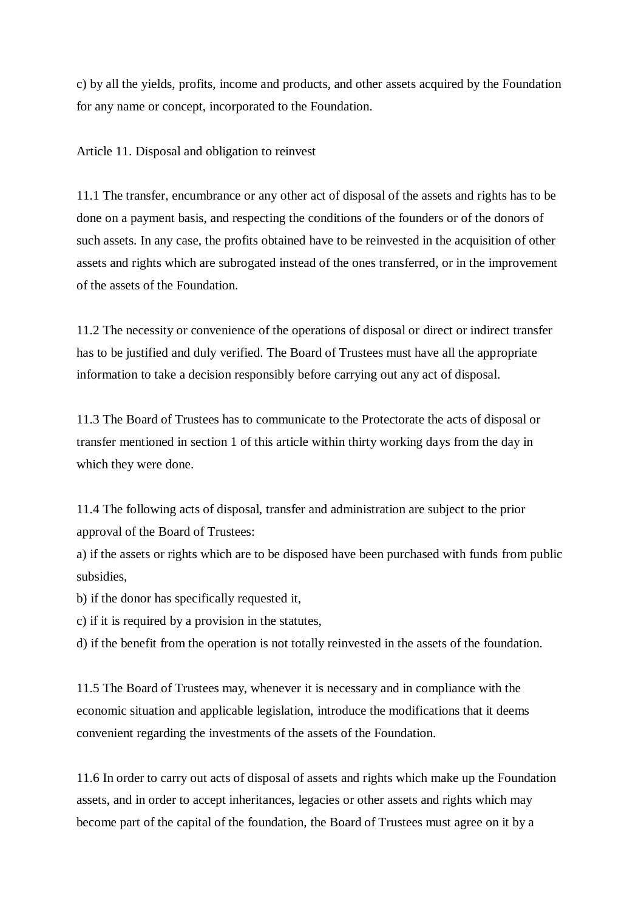c) by all the yields, profits, income and products, and other assets acquired by the Foundation for any name or concept, incorporated to the Foundation.

Article 11. Disposal and obligation to reinvest

11.1 The transfer, encumbrance or any other act of disposal of the assets and rights has to be done on a payment basis, and respecting the conditions of the founders or of the donors of such assets. In any case, the profits obtained have to be reinvested in the acquisition of other assets and rights which are subrogated instead of the ones transferred, or in the improvement of the assets of the Foundation.

11.2 The necessity or convenience of the operations of disposal or direct or indirect transfer has to be justified and duly verified. The Board of Trustees must have all the appropriate information to take a decision responsibly before carrying out any act of disposal.

11.3 The Board of Trustees has to communicate to the Protectorate the acts of disposal or transfer mentioned in section 1 of this article within thirty working days from the day in which they were done.

11.4 The following acts of disposal, transfer and administration are subject to the prior approval of the Board of Trustees:

a) if the assets or rights which are to be disposed have been purchased with funds from public subsidies,

b) if the donor has specifically requested it,

c) if it is required by a provision in the statutes,

d) if the benefit from the operation is not totally reinvested in the assets of the foundation.

11.5 The Board of Trustees may, whenever it is necessary and in compliance with the economic situation and applicable legislation, introduce the modifications that it deems convenient regarding the investments of the assets of the Foundation.

11.6 In order to carry out acts of disposal of assets and rights which make up the Foundation assets, and in order to accept inheritances, legacies or other assets and rights which may become part of the capital of the foundation, the Board of Trustees must agree on it by a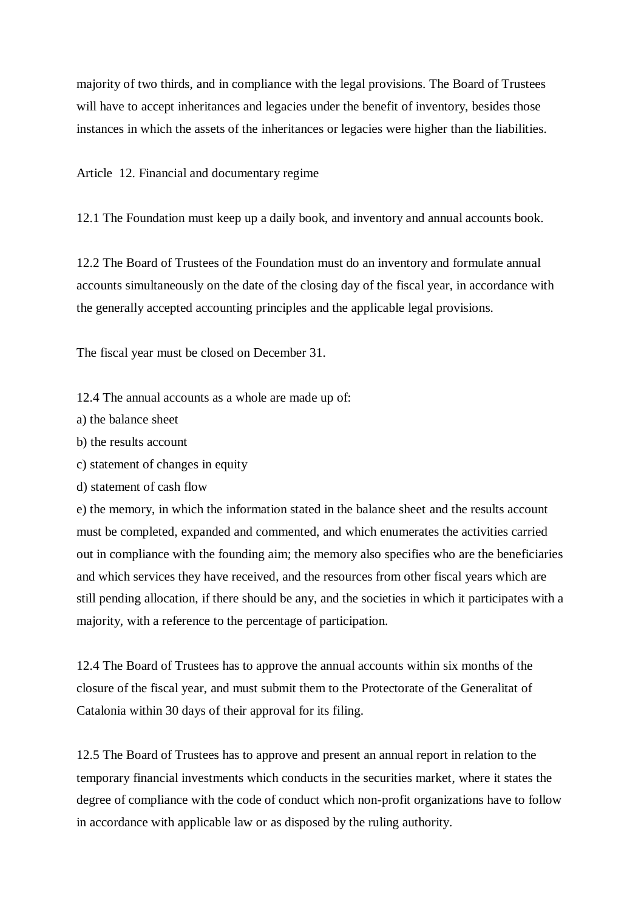majority of two thirds, and in compliance with the legal provisions. The Board of Trustees will have to accept inheritances and legacies under the benefit of inventory, besides those instances in which the assets of the inheritances or legacies were higher than the liabilities.

Article 12. Financial and documentary regime

12.1 The Foundation must keep up a daily book, and inventory and annual accounts book.

12.2 The Board of Trustees of the Foundation must do an inventory and formulate annual accounts simultaneously on the date of the closing day of the fiscal year, in accordance with the generally accepted accounting principles and the applicable legal provisions.

The fiscal year must be closed on December 31.

12.4 The annual accounts as a whole are made up of:

- a) the balance sheet
- b) the results account
- c) statement of changes in equity
- d) statement of cash flow

e) the memory, in which the information stated in the balance sheet and the results account must be completed, expanded and commented, and which enumerates the activities carried out in compliance with the founding aim; the memory also specifies who are the beneficiaries and which services they have received, and the resources from other fiscal years which are still pending allocation, if there should be any, and the societies in which it participates with a majority, with a reference to the percentage of participation.

12.4 The Board of Trustees has to approve the annual accounts within six months of the closure of the fiscal year, and must submit them to the Protectorate of the Generalitat of Catalonia within 30 days of their approval for its filing.

12.5 The Board of Trustees has to approve and present an annual report in relation to the temporary financial investments which conducts in the securities market, where it states the degree of compliance with the code of conduct which non-profit organizations have to follow in accordance with applicable law or as disposed by the ruling authority.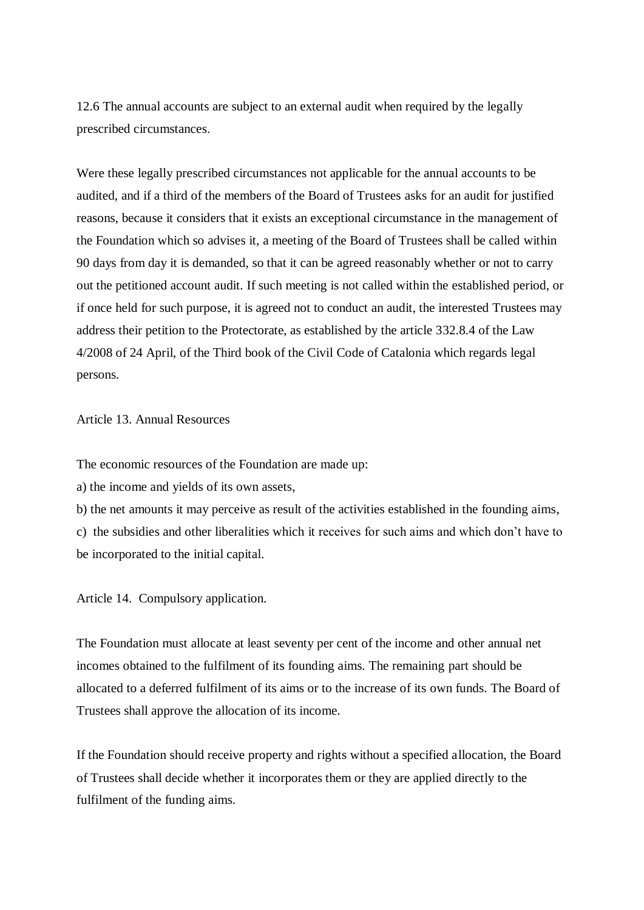12.6 The annual accounts are subject to an external audit when required by the legally prescribed circumstances.

Were these legally prescribed circumstances not applicable for the annual accounts to be audited, and if a third of the members of the Board of Trustees asks for an audit for justified reasons, because it considers that it exists an exceptional circumstance in the management of the Foundation which so advises it, a meeting of the Board of Trustees shall be called within 90 days from day it is demanded, so that it can be agreed reasonably whether or not to carry out the petitioned account audit. If such meeting is not called within the established period, or if once held for such purpose, it is agreed not to conduct an audit, the interested Trustees may address their petition to the Protectorate, as established by the article 332.8.4 of the Law 4/2008 of 24 April, of the Third book of the Civil Code of Catalonia which regards legal persons.

Article 13. Annual Resources

The economic resources of the Foundation are made up:

a) the income and yields of its own assets,

b) the net amounts it may perceive as result of the activities established in the founding aims, c) the subsidies and other liberalities which it receives for such aims and which don't have to be incorporated to the initial capital.

Article 14. Compulsory application.

The Foundation must allocate at least seventy per cent of the income and other annual net incomes obtained to the fulfilment of its founding aims. The remaining part should be allocated to a deferred fulfilment of its aims or to the increase of its own funds. The Board of Trustees shall approve the allocation of its income.

If the Foundation should receive property and rights without a specified allocation, the Board of Trustees shall decide whether it incorporates them or they are applied directly to the fulfilment of the funding aims.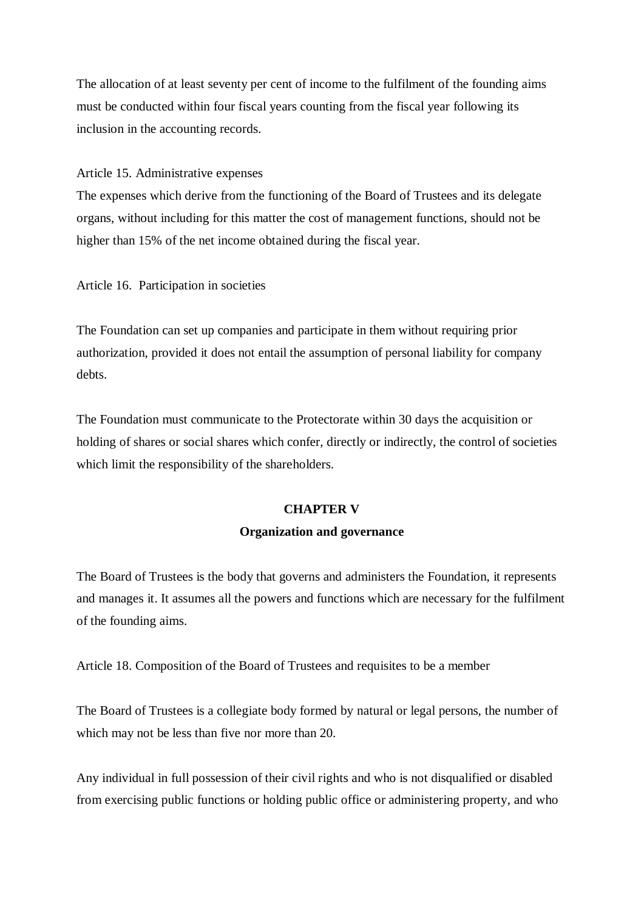The allocation of at least seventy per cent of income to the fulfilment of the founding aims must be conducted within four fiscal years counting from the fiscal year following its inclusion in the accounting records.

Article 15. Administrative expenses

The expenses which derive from the functioning of the Board of Trustees and its delegate organs, without including for this matter the cost of management functions, should not be higher than 15% of the net income obtained during the fiscal year.

Article 16. Participation in societies

The Foundation can set up companies and participate in them without requiring prior authorization, provided it does not entail the assumption of personal liability for company debts.

The Foundation must communicate to the Protectorate within 30 days the acquisition or holding of shares or social shares which confer, directly or indirectly, the control of societies which limit the responsibility of the shareholders.

## **CHAPTER V**

## **Organization and governance**

The Board of Trustees is the body that governs and administers the Foundation, it represents and manages it. It assumes all the powers and functions which are necessary for the fulfilment of the founding aims.

Article 18. Composition of the Board of Trustees and requisites to be a member

The Board of Trustees is a collegiate body formed by natural or legal persons, the number of which may not be less than five nor more than 20.

Any individual in full possession of their civil rights and who is not disqualified or disabled from exercising public functions or holding public office or administering property, and who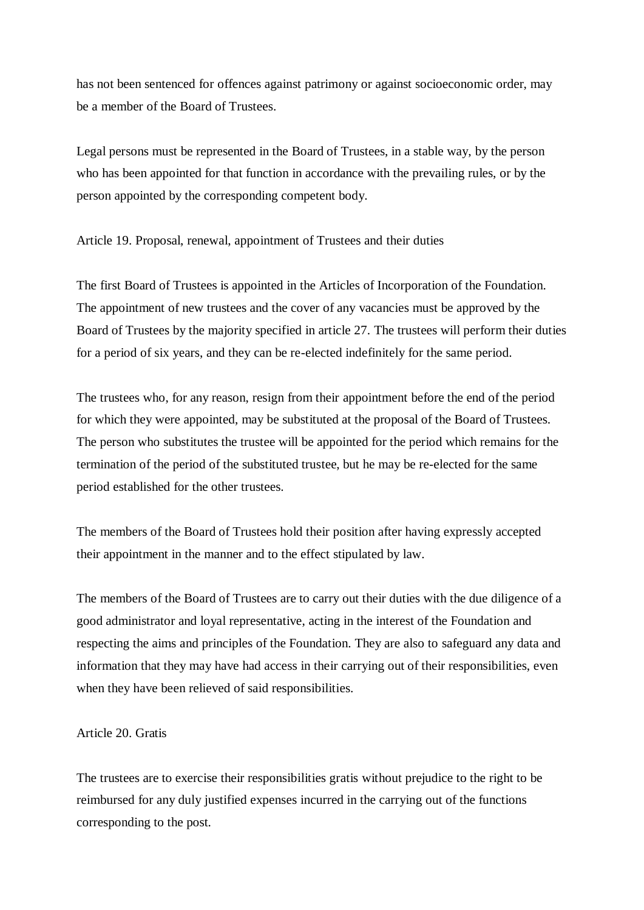has not been sentenced for offences against patrimony or against socioeconomic order, may be a member of the Board of Trustees.

Legal persons must be represented in the Board of Trustees, in a stable way, by the person who has been appointed for that function in accordance with the prevailing rules, or by the person appointed by the corresponding competent body.

Article 19. Proposal, renewal, appointment of Trustees and their duties

The first Board of Trustees is appointed in the Articles of Incorporation of the Foundation. The appointment of new trustees and the cover of any vacancies must be approved by the Board of Trustees by the majority specified in article 27. The trustees will perform their duties for a period of six years, and they can be re-elected indefinitely for the same period.

The trustees who, for any reason, resign from their appointment before the end of the period for which they were appointed, may be substituted at the proposal of the Board of Trustees. The person who substitutes the trustee will be appointed for the period which remains for the termination of the period of the substituted trustee, but he may be re-elected for the same period established for the other trustees.

The members of the Board of Trustees hold their position after having expressly accepted their appointment in the manner and to the effect stipulated by law.

The members of the Board of Trustees are to carry out their duties with the due diligence of a good administrator and loyal representative, acting in the interest of the Foundation and respecting the aims and principles of the Foundation. They are also to safeguard any data and information that they may have had access in their carrying out of their responsibilities, even when they have been relieved of said responsibilities.

### Article 20. Gratis

The trustees are to exercise their responsibilities gratis without prejudice to the right to be reimbursed for any duly justified expenses incurred in the carrying out of the functions corresponding to the post.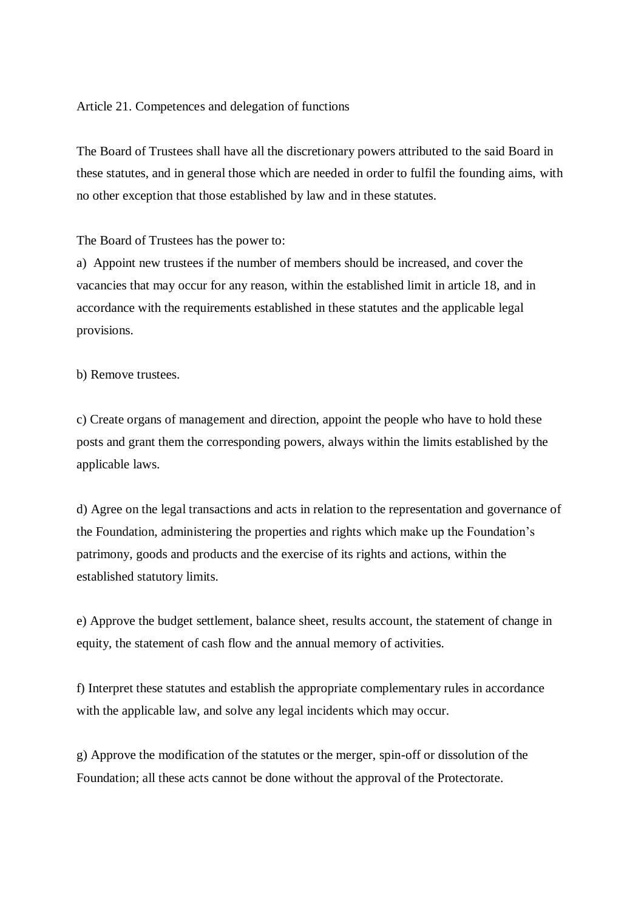#### Article 21. Competences and delegation of functions

The Board of Trustees shall have all the discretionary powers attributed to the said Board in these statutes, and in general those which are needed in order to fulfil the founding aims, with no other exception that those established by law and in these statutes.

#### The Board of Trustees has the power to:

a) Appoint new trustees if the number of members should be increased, and cover the vacancies that may occur for any reason, within the established limit in article 18, and in accordance with the requirements established in these statutes and the applicable legal provisions.

b) Remove trustees.

c) Create organs of management and direction, appoint the people who have to hold these posts and grant them the corresponding powers, always within the limits established by the applicable laws.

d) Agree on the legal transactions and acts in relation to the representation and governance of the Foundation, administering the properties and rights which make up the Foundation's patrimony, goods and products and the exercise of its rights and actions, within the established statutory limits.

e) Approve the budget settlement, balance sheet, results account, the statement of change in equity, the statement of cash flow and the annual memory of activities.

f) Interpret these statutes and establish the appropriate complementary rules in accordance with the applicable law, and solve any legal incidents which may occur.

g) Approve the modification of the statutes or the merger, spin-off or dissolution of the Foundation; all these acts cannot be done without the approval of the Protectorate.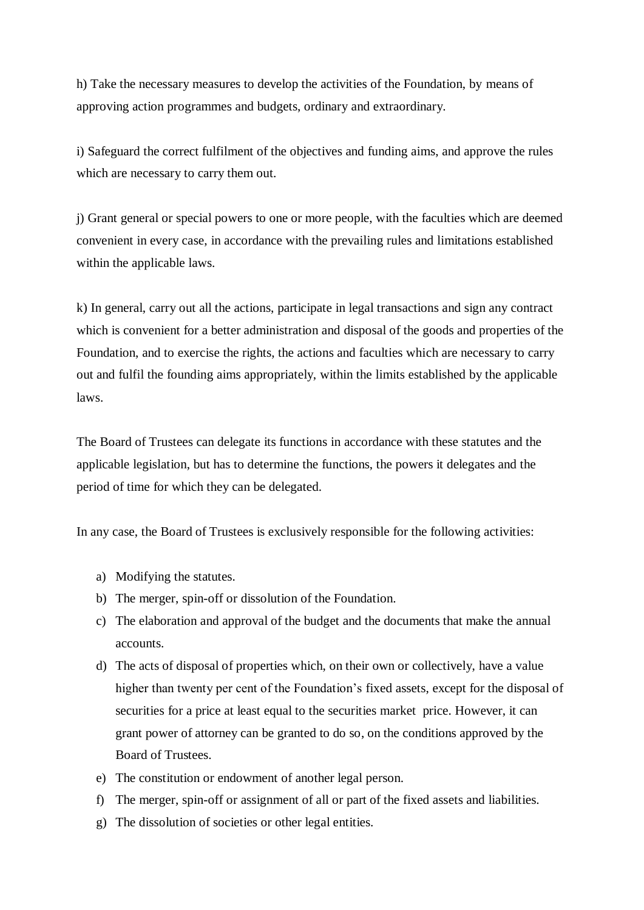h) Take the necessary measures to develop the activities of the Foundation, by means of approving action programmes and budgets, ordinary and extraordinary.

i) Safeguard the correct fulfilment of the objectives and funding aims, and approve the rules which are necessary to carry them out.

j) Grant general or special powers to one or more people, with the faculties which are deemed convenient in every case, in accordance with the prevailing rules and limitations established within the applicable laws.

k) In general, carry out all the actions, participate in legal transactions and sign any contract which is convenient for a better administration and disposal of the goods and properties of the Foundation, and to exercise the rights, the actions and faculties which are necessary to carry out and fulfil the founding aims appropriately, within the limits established by the applicable laws.

The Board of Trustees can delegate its functions in accordance with these statutes and the applicable legislation, but has to determine the functions, the powers it delegates and the period of time for which they can be delegated.

In any case, the Board of Trustees is exclusively responsible for the following activities:

- a) Modifying the statutes.
- b) The merger, spin-off or dissolution of the Foundation.
- c) The elaboration and approval of the budget and the documents that make the annual accounts.
- d) The acts of disposal of properties which, on their own or collectively, have a value higher than twenty per cent of the Foundation's fixed assets, except for the disposal of securities for a price at least equal to the securities market price. However, it can grant power of attorney can be granted to do so, on the conditions approved by the Board of Trustees.
- e) The constitution or endowment of another legal person.
- f) The merger, spin-off or assignment of all or part of the fixed assets and liabilities.
- g) The dissolution of societies or other legal entities.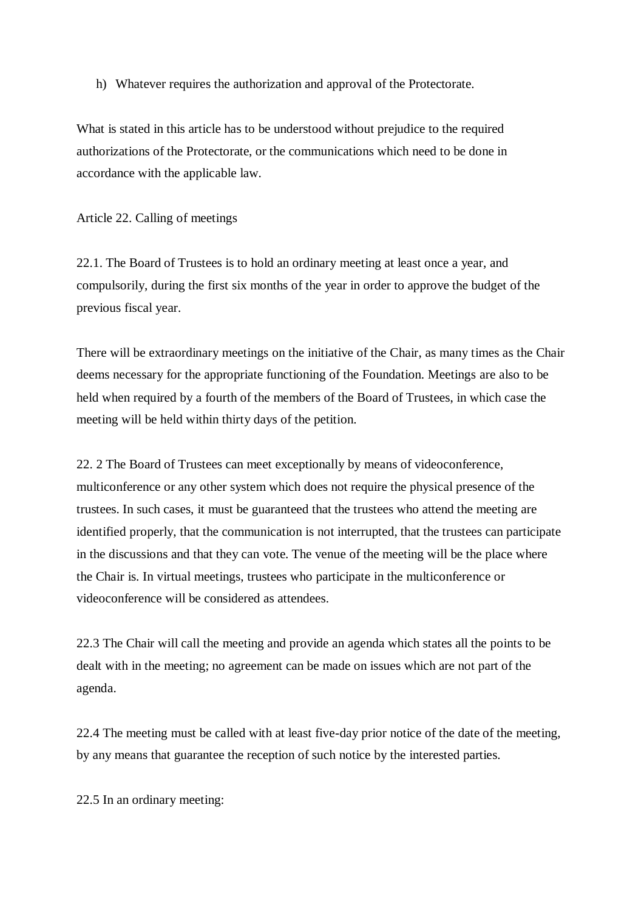h) Whatever requires the authorization and approval of the Protectorate.

What is stated in this article has to be understood without prejudice to the required authorizations of the Protectorate, or the communications which need to be done in accordance with the applicable law.

Article 22. Calling of meetings

22.1. The Board of Trustees is to hold an ordinary meeting at least once a year, and compulsorily, during the first six months of the year in order to approve the budget of the previous fiscal year.

There will be extraordinary meetings on the initiative of the Chair, as many times as the Chair deems necessary for the appropriate functioning of the Foundation. Meetings are also to be held when required by a fourth of the members of the Board of Trustees, in which case the meeting will be held within thirty days of the petition.

22. 2 The Board of Trustees can meet exceptionally by means of videoconference, multiconference or any other system which does not require the physical presence of the trustees. In such cases, it must be guaranteed that the trustees who attend the meeting are identified properly, that the communication is not interrupted, that the trustees can participate in the discussions and that they can vote. The venue of the meeting will be the place where the Chair is. In virtual meetings, trustees who participate in the multiconference or videoconference will be considered as attendees.

22.3 The Chair will call the meeting and provide an agenda which states all the points to be dealt with in the meeting; no agreement can be made on issues which are not part of the agenda.

22.4 The meeting must be called with at least five-day prior notice of the date of the meeting, by any means that guarantee the reception of such notice by the interested parties.

22.5 In an ordinary meeting: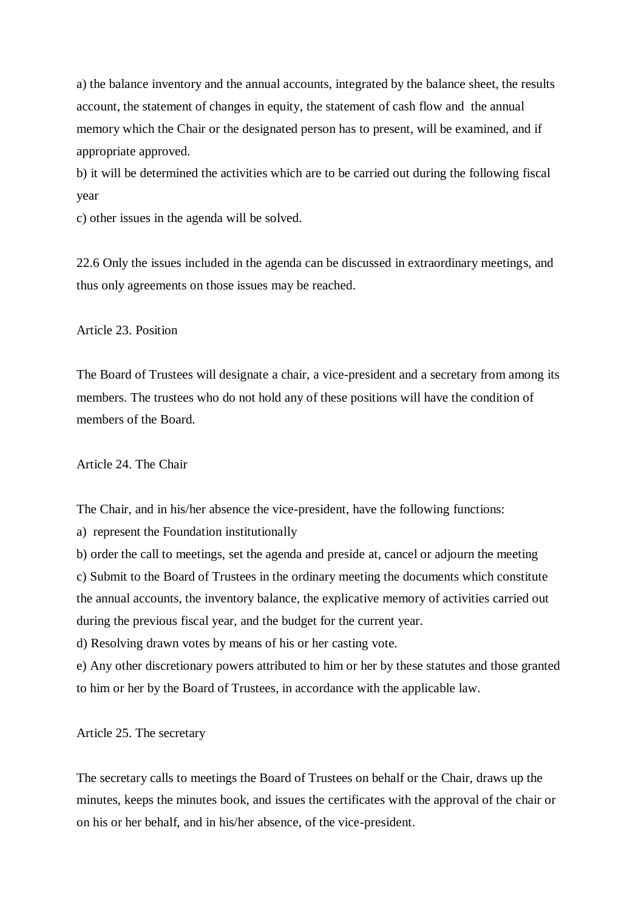a) the balance inventory and the annual accounts, integrated by the balance sheet, the results account, the statement of changes in equity, the statement of cash flow and the annual memory which the Chair or the designated person has to present, will be examined, and if appropriate approved.

b) it will be determined the activities which are to be carried out during the following fiscal year

c) other issues in the agenda will be solved.

22.6 Only the issues included in the agenda can be discussed in extraordinary meetings, and thus only agreements on those issues may be reached.

Article 23. Position

The Board of Trustees will designate a chair, a vice-president and a secretary from among its members. The trustees who do not hold any of these positions will have the condition of members of the Board*.* 

Article 24. The Chair

The Chair, and in his/her absence the vice-president, have the following functions:

a) represent the Foundation institutionally

b) order the call to meetings, set the agenda and preside at, cancel or adjourn the meeting c) Submit to the Board of Trustees in the ordinary meeting the documents which constitute the annual accounts, the inventory balance, the explicative memory of activities carried out during the previous fiscal year, and the budget for the current year.

d) Resolving drawn votes by means of his or her casting vote.

e) Any other discretionary powers attributed to him or her by these statutes and those granted to him or her by the Board of Trustees, in accordance with the applicable law.

Article 25. The secretary

The secretary calls to meetings the Board of Trustees on behalf or the Chair, draws up the minutes, keeps the minutes book, and issues the certificates with the approval of the chair or on his or her behalf, and in his/her absence, of the vice-president.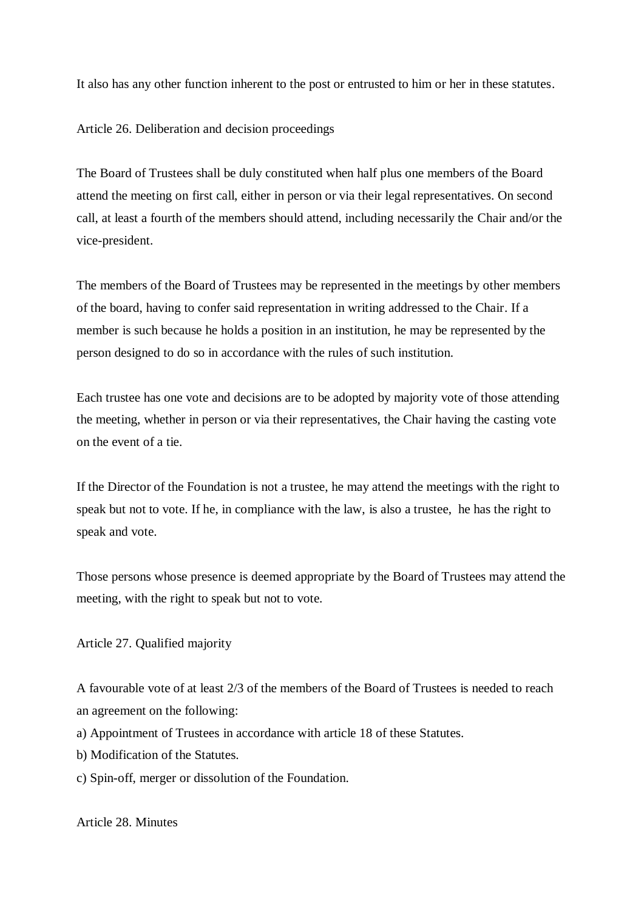It also has any other function inherent to the post or entrusted to him or her in these statutes.

Article 26. Deliberation and decision proceedings

The Board of Trustees shall be duly constituted when half plus one members of the Board attend the meeting on first call, either in person or via their legal representatives. On second call, at least a fourth of the members should attend, including necessarily the Chair and/or the vice-president.

The members of the Board of Trustees may be represented in the meetings by other members of the board, having to confer said representation in writing addressed to the Chair. If a member is such because he holds a position in an institution, he may be represented by the person designed to do so in accordance with the rules of such institution.

Each trustee has one vote and decisions are to be adopted by majority vote of those attending the meeting, whether in person or via their representatives, the Chair having the casting vote on the event of a tie.

If the Director of the Foundation is not a trustee, he may attend the meetings with the right to speak but not to vote. If he, in compliance with the law, is also a trustee, he has the right to speak and vote.

Those persons whose presence is deemed appropriate by the Board of Trustees may attend the meeting, with the right to speak but not to vote.

Article 27. Qualified majority

A favourable vote of at least 2/3 of the members of the Board of Trustees is needed to reach an agreement on the following:

- a) Appointment of Trustees in accordance with article 18 of these Statutes.
- b) Modification of the Statutes.
- c) Spin-off, merger or dissolution of the Foundation.

Article 28. Minutes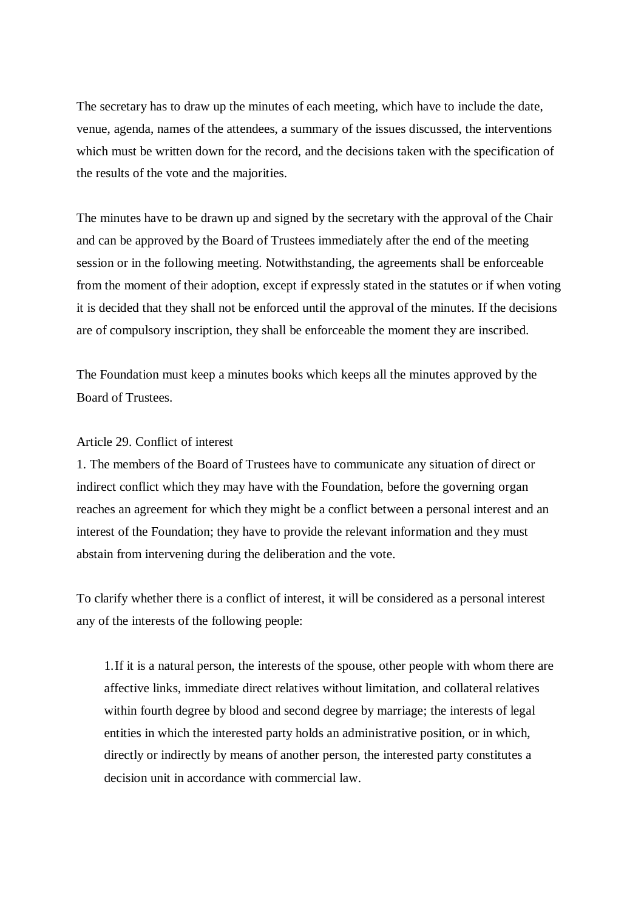The secretary has to draw up the minutes of each meeting, which have to include the date, venue, agenda, names of the attendees, a summary of the issues discussed, the interventions which must be written down for the record, and the decisions taken with the specification of the results of the vote and the majorities.

The minutes have to be drawn up and signed by the secretary with the approval of the Chair and can be approved by the Board of Trustees immediately after the end of the meeting session or in the following meeting. Notwithstanding, the agreements shall be enforceable from the moment of their adoption, except if expressly stated in the statutes or if when voting it is decided that they shall not be enforced until the approval of the minutes. If the decisions are of compulsory inscription, they shall be enforceable the moment they are inscribed.

The Foundation must keep a minutes books which keeps all the minutes approved by the Board of Trustees.

#### Article 29. Conflict of interest

1. The members of the Board of Trustees have to communicate any situation of direct or indirect conflict which they may have with the Foundation, before the governing organ reaches an agreement for which they might be a conflict between a personal interest and an interest of the Foundation; they have to provide the relevant information and they must abstain from intervening during the deliberation and the vote.

To clarify whether there is a conflict of interest, it will be considered as a personal interest any of the interests of the following people:

1.If it is a natural person, the interests of the spouse, other people with whom there are affective links, immediate direct relatives without limitation, and collateral relatives within fourth degree by blood and second degree by marriage; the interests of legal entities in which the interested party holds an administrative position, or in which, directly or indirectly by means of another person, the interested party constitutes a decision unit in accordance with commercial law.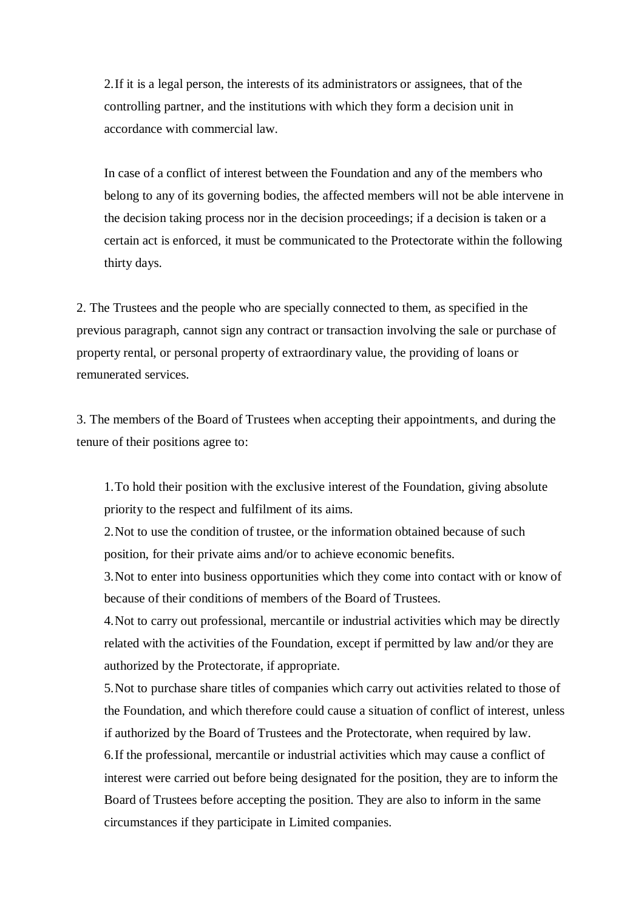2.If it is a legal person, the interests of its administrators or assignees, that of the controlling partner, and the institutions with which they form a decision unit in accordance with commercial law.

In case of a conflict of interest between the Foundation and any of the members who belong to any of its governing bodies, the affected members will not be able intervene in the decision taking process nor in the decision proceedings; if a decision is taken or a certain act is enforced, it must be communicated to the Protectorate within the following thirty days.

2. The Trustees and the people who are specially connected to them, as specified in the previous paragraph, cannot sign any contract or transaction involving the sale or purchase of property rental, or personal property of extraordinary value, the providing of loans or remunerated services.

3. The members of the Board of Trustees when accepting their appointments, and during the tenure of their positions agree to:

1.To hold their position with the exclusive interest of the Foundation, giving absolute priority to the respect and fulfilment of its aims.

2.Not to use the condition of trustee, or the information obtained because of such position, for their private aims and/or to achieve economic benefits.

3.Not to enter into business opportunities which they come into contact with or know of because of their conditions of members of the Board of Trustees.

4.Not to carry out professional, mercantile or industrial activities which may be directly related with the activities of the Foundation, except if permitted by law and/or they are authorized by the Protectorate, if appropriate.

5.Not to purchase share titles of companies which carry out activities related to those of the Foundation, and which therefore could cause a situation of conflict of interest, unless if authorized by the Board of Trustees and the Protectorate, when required by law. 6.If the professional, mercantile or industrial activities which may cause a conflict of interest were carried out before being designated for the position, they are to inform the Board of Trustees before accepting the position. They are also to inform in the same circumstances if they participate in Limited companies.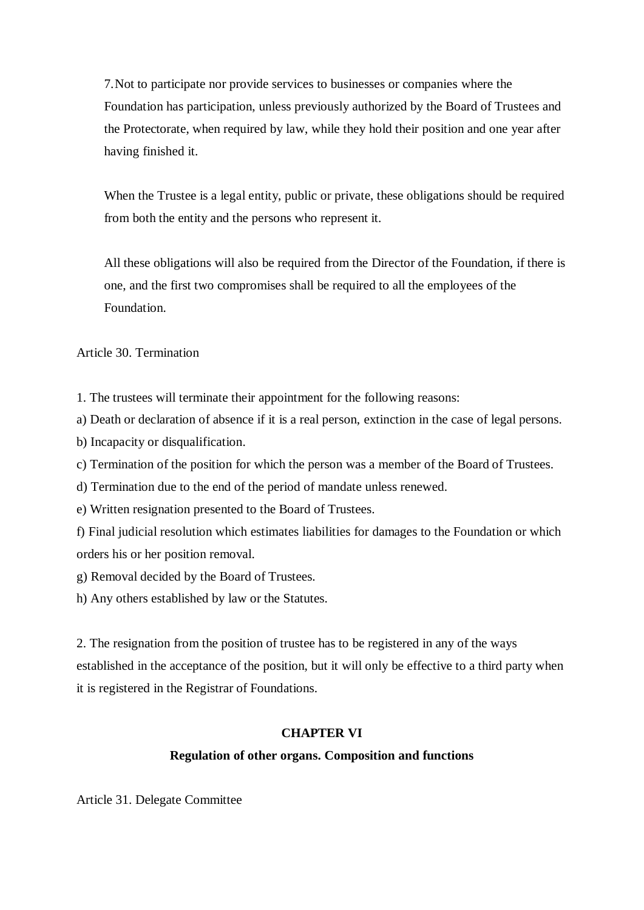7.Not to participate nor provide services to businesses or companies where the Foundation has participation, unless previously authorized by the Board of Trustees and the Protectorate, when required by law, while they hold their position and one year after having finished it.

When the Trustee is a legal entity, public or private, these obligations should be required from both the entity and the persons who represent it.

All these obligations will also be required from the Director of the Foundation, if there is one, and the first two compromises shall be required to all the employees of the Foundation.

Article 30. Termination

1. The trustees will terminate their appointment for the following reasons:

a) Death or declaration of absence if it is a real person, extinction in the case of legal persons.

b) Incapacity or disqualification.

c) Termination of the position for which the person was a member of the Board of Trustees.

d) Termination due to the end of the period of mandate unless renewed.

e) Written resignation presented to the Board of Trustees.

f) Final judicial resolution which estimates liabilities for damages to the Foundation or which orders his or her position removal.

g) Removal decided by the Board of Trustees.

h) Any others established by law or the Statutes.

2. The resignation from the position of trustee has to be registered in any of the ways established in the acceptance of the position, but it will only be effective to a third party when it is registered in the Registrar of Foundations.

## **CHAPTER VI**

## **Regulation of other organs. Composition and functions**

Article 31. Delegate Committee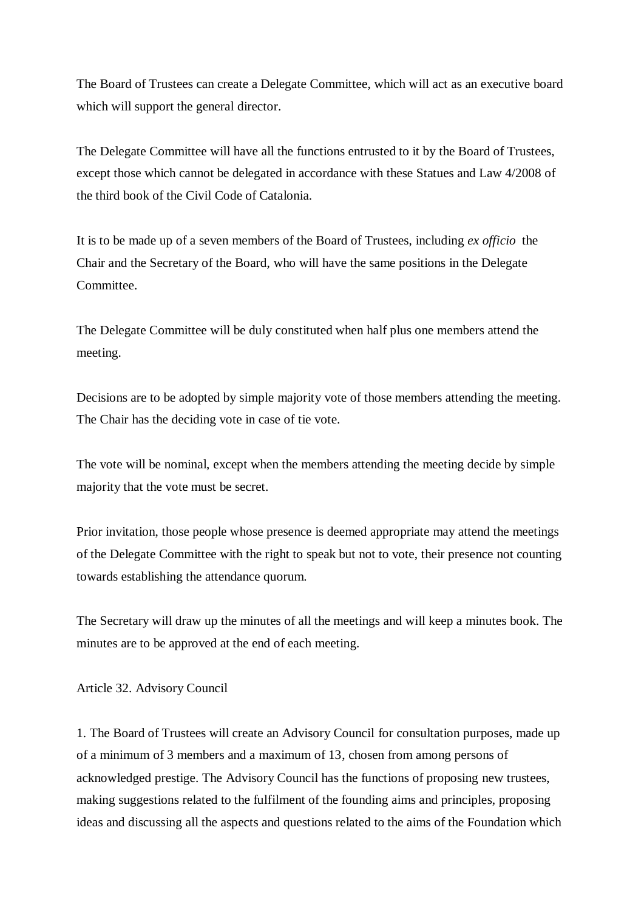The Board of Trustees can create a Delegate Committee, which will act as an executive board which will support the general director.

The Delegate Committee will have all the functions entrusted to it by the Board of Trustees, except those which cannot be delegated in accordance with these Statues and Law 4/2008 of the third book of the Civil Code of Catalonia.

It is to be made up of a seven members of the Board of Trustees, including *ex officio* the Chair and the Secretary of the Board, who will have the same positions in the Delegate Committee.

The Delegate Committee will be duly constituted when half plus one members attend the meeting.

Decisions are to be adopted by simple majority vote of those members attending the meeting. The Chair has the deciding vote in case of tie vote.

The vote will be nominal, except when the members attending the meeting decide by simple majority that the vote must be secret.

Prior invitation, those people whose presence is deemed appropriate may attend the meetings of the Delegate Committee with the right to speak but not to vote, their presence not counting towards establishing the attendance quorum.

The Secretary will draw up the minutes of all the meetings and will keep a minutes book. The minutes are to be approved at the end of each meeting.

Article 32. Advisory Council

1. The Board of Trustees will create an Advisory Council for consultation purposes, made up of a minimum of 3 members and a maximum of 13, chosen from among persons of acknowledged prestige. The Advisory Council has the functions of proposing new trustees, making suggestions related to the fulfilment of the founding aims and principles, proposing ideas and discussing all the aspects and questions related to the aims of the Foundation which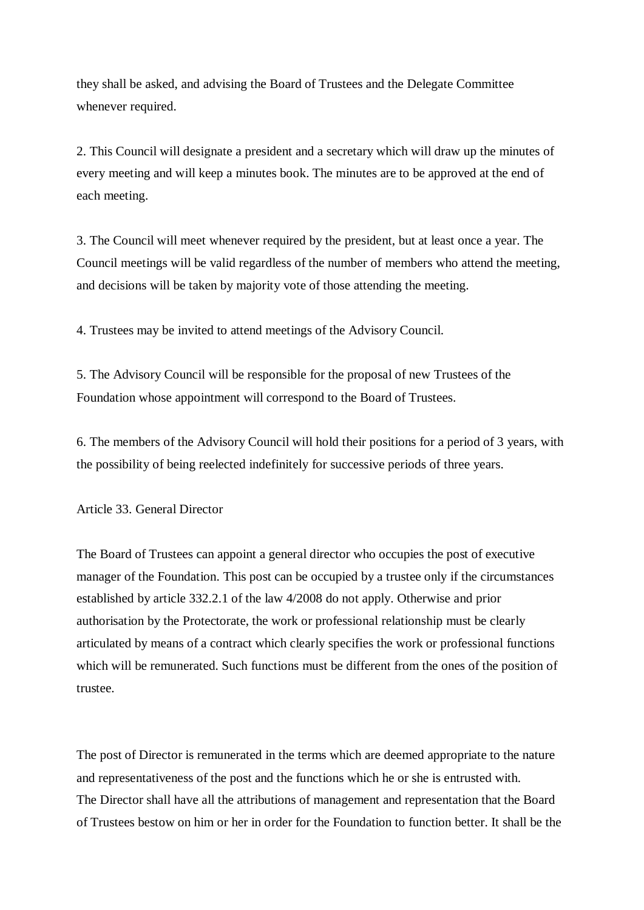they shall be asked, and advising the Board of Trustees and the Delegate Committee whenever required.

2. This Council will designate a president and a secretary which will draw up the minutes of every meeting and will keep a minutes book. The minutes are to be approved at the end of each meeting.

3. The Council will meet whenever required by the president, but at least once a year. The Council meetings will be valid regardless of the number of members who attend the meeting, and decisions will be taken by majority vote of those attending the meeting.

4. Trustees may be invited to attend meetings of the Advisory Council.

5. The Advisory Council will be responsible for the proposal of new Trustees of the Foundation whose appointment will correspond to the Board of Trustees.

6. The members of the Advisory Council will hold their positions for a period of 3 years, with the possibility of being reelected indefinitely for successive periods of three years.

Article 33. General Director

The Board of Trustees can appoint a general director who occupies the post of executive manager of the Foundation. This post can be occupied by a trustee only if the circumstances established by article 332.2.1 of the law 4/2008 do not apply. Otherwise and prior authorisation by the Protectorate, the work or professional relationship must be clearly articulated by means of a contract which clearly specifies the work or professional functions which will be remunerated. Such functions must be different from the ones of the position of trustee.

The post of Director is remunerated in the terms which are deemed appropriate to the nature and representativeness of the post and the functions which he or she is entrusted with. The Director shall have all the attributions of management and representation that the Board of Trustees bestow on him or her in order for the Foundation to function better. It shall be the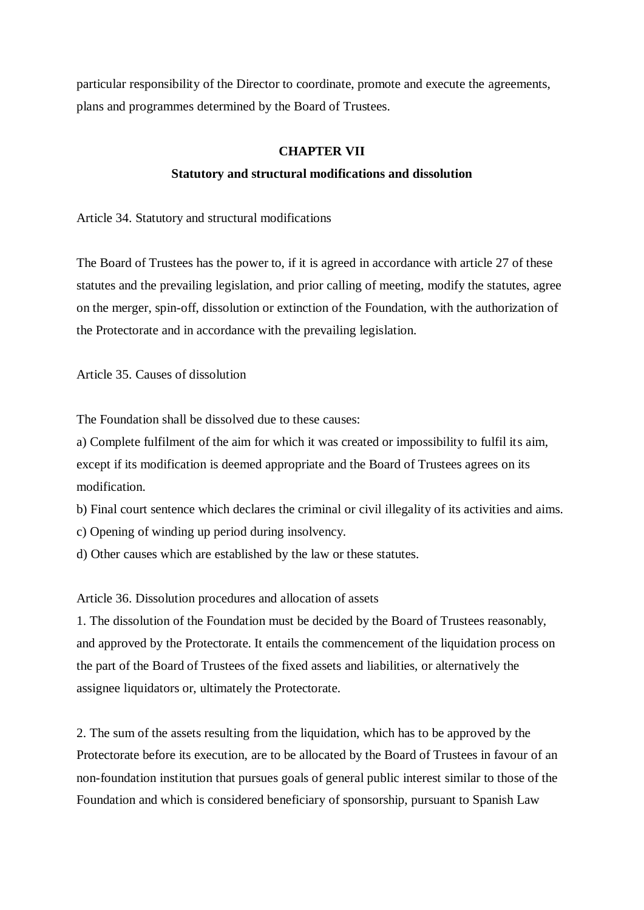particular responsibility of the Director to coordinate, promote and execute the agreements, plans and programmes determined by the Board of Trustees.

## **CHAPTER VII**

#### **Statutory and structural modifications and dissolution**

Article 34. Statutory and structural modifications

The Board of Trustees has the power to, if it is agreed in accordance with article 27 of these statutes and the prevailing legislation, and prior calling of meeting, modify the statutes, agree on the merger, spin-off, dissolution or extinction of the Foundation, with the authorization of the Protectorate and in accordance with the prevailing legislation.

Article 35. Causes of dissolution

The Foundation shall be dissolved due to these causes:

a) Complete fulfilment of the aim for which it was created or impossibility to fulfil its aim, except if its modification is deemed appropriate and the Board of Trustees agrees on its modification.

- b) Final court sentence which declares the criminal or civil illegality of its activities and aims.
- c) Opening of winding up period during insolvency.
- d) Other causes which are established by the law or these statutes.

Article 36. Dissolution procedures and allocation of assets

1. The dissolution of the Foundation must be decided by the Board of Trustees reasonably, and approved by the Protectorate. It entails the commencement of the liquidation process on the part of the Board of Trustees of the fixed assets and liabilities, or alternatively the assignee liquidators or, ultimately the Protectorate.

2. The sum of the assets resulting from the liquidation, which has to be approved by the Protectorate before its execution, are to be allocated by the Board of Trustees in favour of an non-foundation institution that pursues goals of general public interest similar to those of the Foundation and which is considered beneficiary of sponsorship, pursuant to Spanish Law